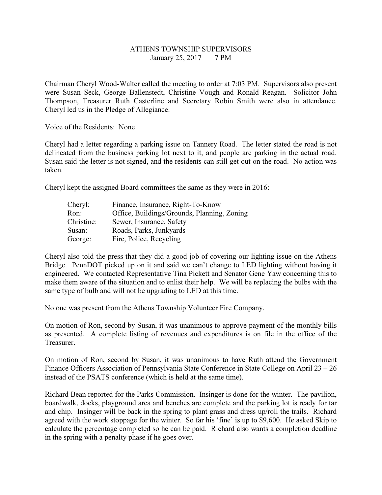## ATHENS TOWNSHIP SUPERVISORS January 25, 2017 7 PM

Chairman Cheryl Wood-Walter called the meeting to order at 7:03 PM. Supervisors also present were Susan Seck, George Ballenstedt, Christine Vough and Ronald Reagan. Solicitor John Thompson, Treasurer Ruth Casterline and Secretary Robin Smith were also in attendance. Cheryl led us in the Pledge of Allegiance.

Voice of the Residents: None

Cheryl had a letter regarding a parking issue on Tannery Road. The letter stated the road is not delineated from the business parking lot next to it, and people are parking in the actual road. Susan said the letter is not signed, and the residents can still get out on the road. No action was taken.

Cheryl kept the assigned Board committees the same as they were in 2016:

| Cheryl:    | Finance, Insurance, Right-To-Know           |
|------------|---------------------------------------------|
| Ron:       | Office, Buildings/Grounds, Planning, Zoning |
| Christine: | Sewer, Insurance, Safety                    |
| Susan:     | Roads, Parks, Junkyards                     |
| George:    | Fire, Police, Recycling                     |

Cheryl also told the press that they did a good job of covering our lighting issue on the Athens Bridge. PennDOT picked up on it and said we can't change to LED lighting without having it engineered. We contacted Representative Tina Pickett and Senator Gene Yaw concerning this to make them aware of the situation and to enlist their help. We will be replacing the bulbs with the same type of bulb and will not be upgrading to LED at this time.

No one was present from the Athens Township Volunteer Fire Company.

On motion of Ron, second by Susan, it was unanimous to approve payment of the monthly bills as presented. A complete listing of revenues and expenditures is on file in the office of the Treasurer.

On motion of Ron, second by Susan, it was unanimous to have Ruth attend the Government Finance Officers Association of Pennsylvania State Conference in State College on April 23 – 26 instead of the PSATS conference (which is held at the same time).

Richard Bean reported for the Parks Commission. Insinger is done for the winter. The pavilion, boardwalk, docks, playground area and benches are complete and the parking lot is ready for tar and chip. Insinger will be back in the spring to plant grass and dress up/roll the trails. Richard agreed with the work stoppage for the winter. So far his 'fine' is up to \$9,600. He asked Skip to calculate the percentage completed so he can be paid. Richard also wants a completion deadline in the spring with a penalty phase if he goes over.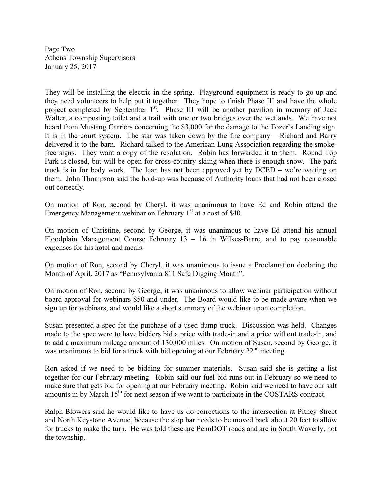Page Two Athens Township Supervisors January 25, 2017

They will be installing the electric in the spring. Playground equipment is ready to go up and they need volunteers to help put it together. They hope to finish Phase III and have the whole project completed by September 1<sup>st</sup>. Phase III will be another pavilion in memory of Jack Walter, a composting toilet and a trail with one or two bridges over the wetlands. We have not heard from Mustang Carriers concerning the \$3,000 for the damage to the Tozer's Landing sign. It is in the court system. The star was taken down by the fire company – Richard and Barry delivered it to the barn. Richard talked to the American Lung Association regarding the smokefree signs. They want a copy of the resolution. Robin has forwarded it to them. Round Top Park is closed, but will be open for cross-country skiing when there is enough snow. The park truck is in for body work. The loan has not been approved yet by DCED – we're waiting on them. John Thompson said the hold-up was because of Authority loans that had not been closed out correctly.

On motion of Ron, second by Cheryl, it was unanimous to have Ed and Robin attend the Emergency Management webinar on February  $1<sup>st</sup>$  at a cost of \$40.

On motion of Christine, second by George, it was unanimous to have Ed attend his annual Floodplain Management Course February  $13 - 16$  in Wilkes-Barre, and to pay reasonable expenses for his hotel and meals.

On motion of Ron, second by Cheryl, it was unanimous to issue a Proclamation declaring the Month of April, 2017 as "Pennsylvania 811 Safe Digging Month".

On motion of Ron, second by George, it was unanimous to allow webinar participation without board approval for webinars \$50 and under. The Board would like to be made aware when we sign up for webinars, and would like a short summary of the webinar upon completion.

Susan presented a spec for the purchase of a used dump truck. Discussion was held. Changes made to the spec were to have bidders bid a price with trade-in and a price without trade-in, and to add a maximum mileage amount of 130,000 miles. On motion of Susan, second by George, it was unanimous to bid for a truck with bid opening at our February 22<sup>nd</sup> meeting.

Ron asked if we need to be bidding for summer materials. Susan said she is getting a list together for our February meeting. Robin said our fuel bid runs out in February so we need to make sure that gets bid for opening at our February meeting. Robin said we need to have our salt amounts in by March  $15<sup>th</sup>$  for next season if we want to participate in the COSTARS contract.

Ralph Blowers said he would like to have us do corrections to the intersection at Pitney Street and North Keystone Avenue, because the stop bar needs to be moved back about 20 feet to allow for trucks to make the turn. He was told these are PennDOT roads and are in South Waverly, not the township.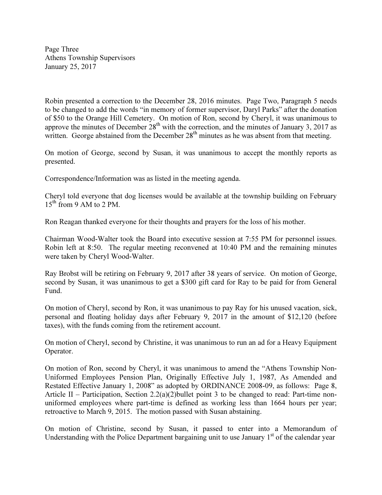Page Three Athens Township Supervisors January 25, 2017

Robin presented a correction to the December 28, 2016 minutes. Page Two, Paragraph 5 needs to be changed to add the words "in memory of former supervisor, Daryl Parks" after the donation of \$50 to the Orange Hill Cemetery. On motion of Ron, second by Cheryl, it was unanimous to approve the minutes of December  $28<sup>th</sup>$  with the correction, and the minutes of January 3, 2017 as written. George abstained from the December 28<sup>th</sup> minutes as he was absent from that meeting.

On motion of George, second by Susan, it was unanimous to accept the monthly reports as presented.

Correspondence/Information was as listed in the meeting agenda.

Cheryl told everyone that dog licenses would be available at the township building on February  $15^{th}$  from 9 AM to 2 PM.

Ron Reagan thanked everyone for their thoughts and prayers for the loss of his mother.

Chairman Wood-Walter took the Board into executive session at 7:55 PM for personnel issues. Robin left at 8:50. The regular meeting reconvened at 10:40 PM and the remaining minutes were taken by Cheryl Wood-Walter.

Ray Brobst will be retiring on February 9, 2017 after 38 years of service. On motion of George, second by Susan, it was unanimous to get a \$300 gift card for Ray to be paid for from General Fund.

On motion of Cheryl, second by Ron, it was unanimous to pay Ray for his unused vacation, sick, personal and floating holiday days after February 9, 2017 in the amount of \$12,120 (before taxes), with the funds coming from the retirement account.

On motion of Cheryl, second by Christine, it was unanimous to run an ad for a Heavy Equipment Operator.

On motion of Ron, second by Cheryl, it was unanimous to amend the "Athens Township Non-Uniformed Employees Pension Plan, Originally Effective July 1, 1987, As Amended and Restated Effective January 1, 2008" as adopted by ORDINANCE 2008-09, as follows: Page 8, Article II – Participation, Section 2.2(a)(2)bullet point 3 to be changed to read: Part-time nonuniformed employees where part-time is defined as working less than 1664 hours per year; retroactive to March 9, 2015. The motion passed with Susan abstaining.

On motion of Christine, second by Susan, it passed to enter into a Memorandum of Understanding with the Police Department bargaining unit to use January  $1<sup>st</sup>$  of the calendar year